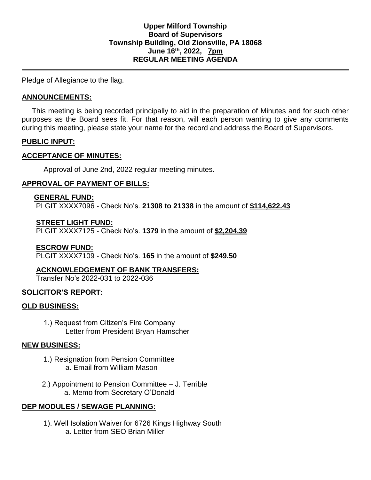Pledge of Allegiance to the flag.

### **ANNOUNCEMENTS:**

 This meeting is being recorded principally to aid in the preparation of Minutes and for such other purposes as the Board sees fit. For that reason, will each person wanting to give any comments during this meeting, please state your name for the record and address the Board of Supervisors.

### **PUBLIC INPUT:**

### **ACCEPTANCE OF MINUTES:**

Approval of June 2nd, 2022 regular meeting minutes.

# **APPROVAL OF PAYMENT OF BILLS:**

### **GENERAL FUND:**

PLGIT XXXX7096 - Check No's. **21308 to 21338** in the amount of **\$114,622.43**

### **STREET LIGHT FUND:**

PLGIT XXXX7125 - Check No's. **1379** in the amount of **\$2,204.39**

### **ESCROW FUND:**

PLGIT XXXX7109 - Check No's. **165** in the amount of **\$249.50**

# **ACKNOWLEDGEMENT OF BANK TRANSFERS:**

Transfer No's 2022-031 to 2022-036

# **SOLICITOR'S REPORT:**

# **OLD BUSINESS:**

1.) Request from Citizen's Fire Company Letter from President Bryan Hamscher

# **NEW BUSINESS:**

- 1.) Resignation from Pension Committee a. Email from William Mason
- 2.) Appointment to Pension Committee J. Terrible a. Memo from Secretary O'Donald

# **DEP MODULES / SEWAGE PLANNING:**

1). Well Isolation Waiver for 6726 Kings Highway South a. Letter from SEO Brian Miller